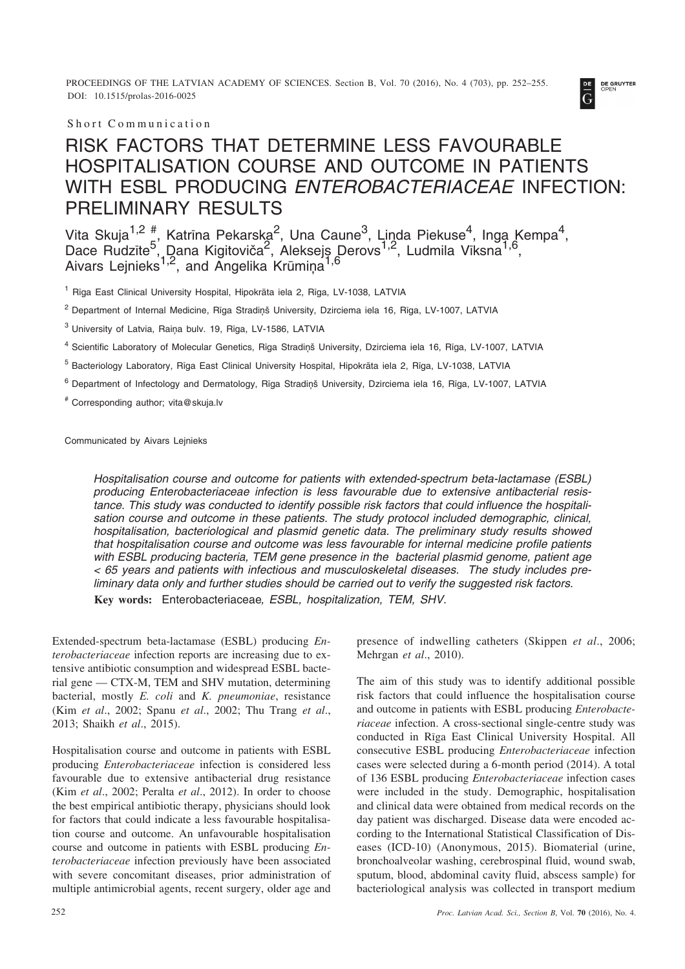PROCEEDINGS OF THE LATVIAN ACADEMY OF SCIENCES. Section B, Vol. 70 (2016), No. 4 (703), pp. 252–255. DOI: 10.1515/prolas-2016-0025



Short Communication

## RISK FACTORS THAT DETERMINE LESS FAVOURABLE HOSPITALISATION COURSE AND OUTCOME IN PATIENTS WITH ESBL PRODUCING *ENTEROBACTERIACEAE* INFECTION: PRELIMINARY RESULTS

Vita Skuja $^{1,2}$   $_{\text{r}}^{\#}$ , Katrīna Pekarska $^{2}$ , Una Caune $^{3}$ , Linda Piekuse $^{4}$ , Inga Kempa $^{4}$ , Dace Rudzīte<sup>5</sup>, Dana Kigitoviča<sup>2</sup>, Aleksejs Derovs<sup>1,2</sup>, Ludmila Vīksna<sup>1,6</sup>, Aivars Lejnieks<sup>1,2</sup>, and Angelika Krūmiņa<sup>1,6</sup>

<sup>1</sup> Rīga East Clinical University Hospital, Hipokrāta iela 2. Rīga, LV-1038, LATVIA

<sup>2</sup> Department of Internal Medicine, Rīga Stradiņš University, Dzirciema iela 16, Rīga, LV-1007, LATVIA

<sup>3</sup> University of Latvia, Raina bulv. 19, Rīga, LV-1586, LATVIA

<sup>4</sup> Scientific Laboratory of Molecular Genetics, Rīga Stradiņš University, Dzirciema iela 16, Rīga, LV-1007, LATVIA

<sup>5</sup> Bacteriology Laboratory, Rīga East Clinical University Hospital, Hipokrāta iela 2, Rīga, LV-1038, LATVIA

<sup>6</sup> Department of Infectology and Dermatology, Rīga Stradiņš University, Dzirciema iela 16, Rīga, LV-1007, LATVIA

# Corresponding author; vita@skuja.lv

Communicated by Aivars Lejnieks

*Hospitalisation course and outcome for patients with extended-spectrum beta-lactamase (ESBL) producing Enterobacteriaceae infection is less favourable due to extensive antibacterial resistance. This study was conducted to identify possible risk factors that could influence the hospitalisation course and outcome in these patients. The study protocol included demographic, clinical, hospitalisation, bacteriological and plasmid genetic data. The preliminary study results showed that hospitalisation course and outcome was less favourable for internal medicine profile patients with ESBL producing bacteria, TEM gene presence in the bacterial plasmid genome, patient age < 65 years and patients with infectious and musculoskeletal diseases. The study includes preliminary data only and further studies should be carried out to verify the suggested risk factors.* **Key words:** Enterobacteriaceae*, ESBL, hospitalization, TEM, SHV.*

Extended-spectrum beta-lactamase (ESBL) producing *Enterobacteriaceae* infection reports are increasing due to extensive antibiotic consumption and widespread ESBL bacterial gene — CTX-M, TEM and SHV mutation, determining bacterial, mostly *E. coli* and *K. pneumoniae*, resistance (Kim *et al*., 2002; Spanu *et al*., 2002; Thu Trang *et al*., 2013; Shaikh *et al*., 2015).

Hospitalisation course and outcome in patients with ESBL producing *Enterobacteriaceae* infection is considered less favourable due to extensive antibacterial drug resistance (Kim *et al*., 2002; Peralta *et al*., 2012). In order to choose the best empirical antibiotic therapy, physicians should look for factors that could indicate a less favourable hospitalisation course and outcome. An unfavourable hospitalisation course and outcome in patients with ESBL producing *Enterobacteriaceae* infection previously have been associated with severe concomitant diseases, prior administration of multiple antimicrobial agents, recent surgery, older age and presence of indwelling catheters (Skippen *et al*., 2006; Mehrgan *et al*., 2010).

The aim of this study was to identify additional possible risk factors that could influence the hospitalisation course and outcome in patients with ESBL producing *Enterobacteriaceae* infection. A cross-sectional single-centre study was conducted in Rîga East Clinical University Hospital. All consecutive ESBL producing *Enterobacteriaceae* infection cases were selected during a 6-month period (2014). A total of 136 ESBL producing *Enterobacteriaceae* infection cases were included in the study. Demographic, hospitalisation and clinical data were obtained from medical records on the day patient was discharged. Disease data were encoded according to the International Statistical Classification of Diseases (ICD-10) (Anonymous, 2015). Biomaterial (urine, bronchoalveolar washing, cerebrospinal fluid, wound swab, sputum, blood, abdominal cavity fluid, abscess sample) for bacteriological analysis was collected in transport medium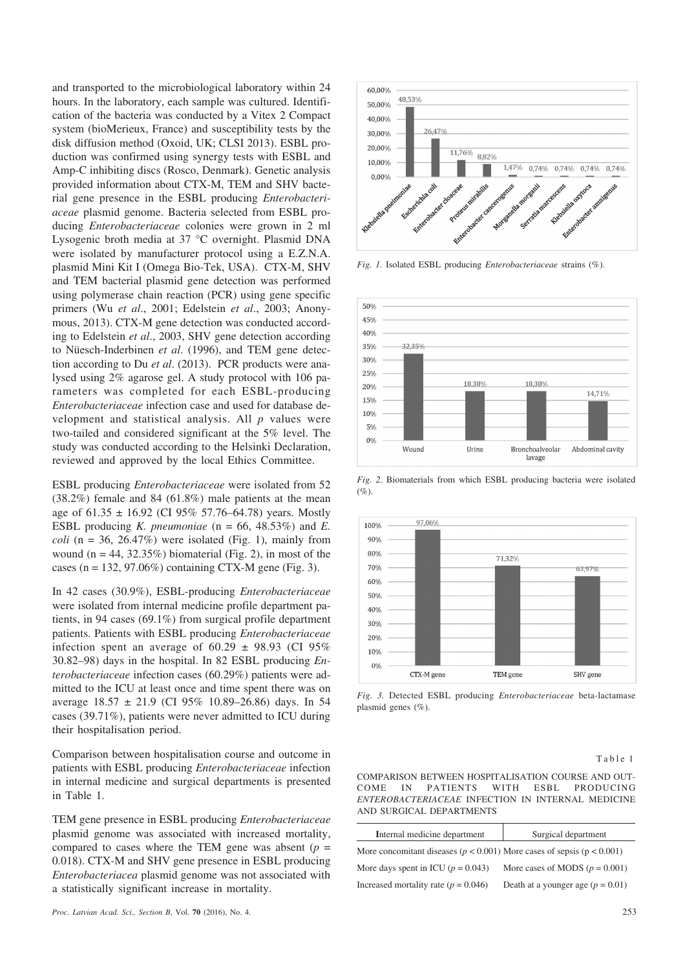and transported to the microbiological laboratory within 24 hours. In the laboratory, each sample was cultured. Identification of the bacteria was conducted by a Vitex 2 Compact system (bioMerieux, France) and susceptibility tests by the disk diffusion method (Oxoid, UK; CLSI 2013). ESBL production was confirmed using synergy tests with ESBL and Amp-C inhibiting discs (Rosco, Denmark). Genetic analysis provided information about CTX-M, TEM and SHV bacterial gene presence in the ESBL producing *Enterobacteriaceae* plasmid genome. Bacteria selected from ESBL producing *Enterobacteriaceae* colonies were grown in 2 ml Lysogenic broth media at 37 °C overnight. Plasmid DNA were isolated by manufacturer protocol using a E.Z.N.A. plasmid Mini Kit I (Omega Bio-Tek, USA). CTX-M, SHV and TEM bacterial plasmid gene detection was performed using polymerase chain reaction (PCR) using gene specific primers (Wu *et al*., 2001; Edelstein *et al*., 2003; Anonymous, 2013). CTX-M gene detection was conducted according to Edelstein *et al*., 2003, SHV gene detection according to Nüesch-Inderbinen *et al*. (1996), and TEM gene detection according to Du *et al*. (2013). PCR products were analysed using 2% agarose gel. A study protocol with 106 parameters was completed for each ESBL-producing *Enterobacteriaceae* infection case and used for database development and statistical analysis. All *p* values were two-tailed and considered significant at the 5% level. The study was conducted according to the Helsinki Declaration, reviewed and approved by the local Ethics Committee.

ESBL producing *Enterobacteriaceae* were isolated from 52 (38.2%) female and 84 (61.8%) male patients at the mean age of  $61.35 \pm 16.92$  (CI 95% 57.76–64.78) years. Mostly ESBL producing *K. pneumoniae* (n = 66, 48.53%) and *E. coli* ( $n = 36$ , 26.47%) were isolated (Fig. 1), mainly from wound  $(n = 44, 32.35\%)$  biomaterial (Fig. 2), in most of the cases (n = 132, 97.06%) containing CTX-M gene (Fig. 3).

In 42 cases (30.9%), ESBL-producing *Enterobacteriaceae* were isolated from internal medicine profile department patients, in 94 cases (69.1%) from surgical profile department patients. Patients with ESBL producing *Enterobacteriaceae* infection spent an average of  $60.29 \pm 98.93$  (CI 95% 30.82–98) days in the hospital. In 82 ESBL producing *Enterobacteriaceae* infection cases (60.29%) patients were admitted to the ICU at least once and time spent there was on average  $18.57 \pm 21.9$  (CI 95% 10.89–26.86) days. In 54 cases (39.71%), patients were never admitted to ICU during their hospitalisation period.

Comparison between hospitalisation course and outcome in patients with ESBL producing *Enterobacteriaceae* infection in internal medicine and surgical departments is presented in Table 1.

TEM gene presence in ESBL producing *Enterobacteriaceae* plasmid genome was associated with increased mortality, compared to cases where the TEM gene was absent  $(p =$ 0.018). CTX-M and SHV gene presence in ESBL producing *Enterobacteriacea* plasmid genome was not associated with a statistically significant increase in mortality.



*Fig. 1.* Isolated ESBL producing *Enterobacteriaceae* strains (%).



*Fig. 2*. Biomaterials from which ESBL producing bacteria were isolated  $(%).$ 



*Fig. 3.* Detected ESBL producing *Enterobacteriaceae* beta-lactamase plasmid genes (%).

## Table 1

COMPARISON BETWEEN HOSPITALISATION COURSE AND OUT-COME IN PATIENTS WITH ESBL PRODUCING *ENTEROBACTERIACEAE* INFECTION IN INTERNAL MEDICINE AND SURGICAL DEPARTMENTS

| Internal medicine department                                                   | Surgical department                 |
|--------------------------------------------------------------------------------|-------------------------------------|
| More concomitant diseases ( $p < 0.001$ ) More cases of sepsis ( $p < 0.001$ ) |                                     |
| More days spent in ICU ( $p = 0.043$ )                                         | More cases of MODS ( $p = 0.001$ )  |
| Increased mortality rate ( $p = 0.046$ )                                       | Death at a younger age $(p = 0.01)$ |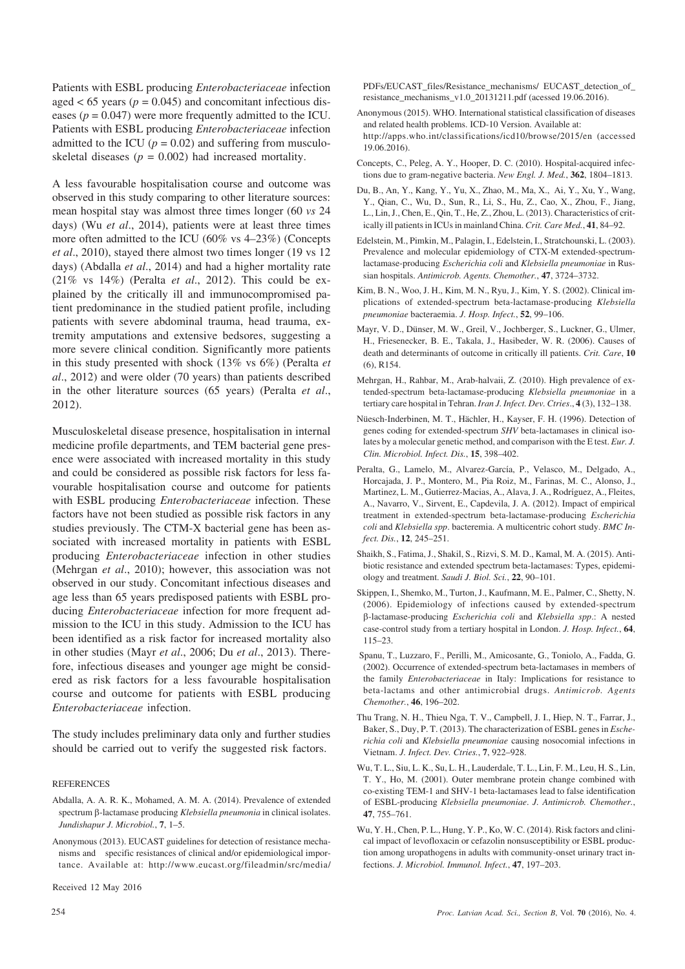Patients with ESBL producing *Enterobacteriaceae* infection aged  $< 65$  years ( $p = 0.045$ ) and concomitant infectious diseases  $(p = 0.047)$  were more frequently admitted to the ICU. Patients with ESBL producing *Enterobacteriaceae* infection admitted to the ICU  $(p = 0.02)$  and suffering from musculoskeletal diseases  $(p = 0.002)$  had increased mortality.

A less favourable hospitalisation course and outcome was observed in this study comparing to other literature sources: mean hospital stay was almost three times longer (60 *vs* 24 days) (Wu *et al*., 2014), patients were at least three times more often admitted to the ICU (60% vs 4–23%) (Concepts *et al*., 2010), stayed there almost two times longer (19 vs 12 days) (Abdalla *et al*., 2014) and had a higher mortality rate (21% vs 14%) (Peralta *et al*., 2012). This could be explained by the critically ill and immunocompromised patient predominance in the studied patient profile, including patients with severe abdominal trauma, head trauma, extremity amputations and extensive bedsores, suggesting a more severe clinical condition. Significantly more patients in this study presented with shock (13% vs 6%) (Peralta *et al*., 2012) and were older (70 years) than patients described in the other literature sources (65 years) (Peralta *et al*., 2012).

Musculoskeletal disease presence, hospitalisation in internal medicine profile departments, and TEM bacterial gene presence were associated with increased mortality in this study and could be considered as possible risk factors for less favourable hospitalisation course and outcome for patients with ESBL producing *Enterobacteriaceae* infection. These factors have not been studied as possible risk factors in any studies previously. The CTM-X bacterial gene has been associated with increased mortality in patients with ESBL producing *Enterobacteriaceae* infection in other studies (Mehrgan *et al*., 2010); however, this association was not observed in our study. Concomitant infectious diseases and age less than 65 years predisposed patients with ESBL producing *Enterobacteriaceae* infection for more frequent admission to the ICU in this study. Admission to the ICU has been identified as a risk factor for increased mortality also in other studies (Mayr *et al*., 2006; Du *et al*., 2013). Therefore, infectious diseases and younger age might be considered as risk factors for a less favourable hospitalisation course and outcome for patients with ESBL producing *Enterobacteriaceae* infection.

The study includes preliminary data only and further studies should be carried out to verify the suggested risk factors.

## **REFERENCES**

- Abdalla, A. A. R. K., Mohamed, A. M. A. (2014). Prevalence of extended spectrum β-lactamase producing *Klebsiella pneumonia* in clinical isolates. *Jundishapur J. Microbiol.*, **7**, 1–5.
- Anonymous (2013). EUCAST guidelines for detection of resistance mechanisms and specific resistances of clinical and/or epidemiological importance. Available at: http://www.eucast.org/fileadmin/src/media/

Received 12 May 2016

PDFs/EUCAST\_files/Resistance\_mechanisms/ EUCAST\_detection\_of\_ resistance\_mechanisms\_v1.0\_20131211.pdf (acessed 19.06.2016).

- Anonymous (2015). WHO. International statistical classification of diseases and related health problems. ICD-10 Version. Available at: http://apps.who.int/classifications/icd10/browse/2015/en (accessed 19.06.2016).
- Concepts, C., Peleg, A. Y., Hooper, D. C. (2010). Hospital-acquired infections due to gram-negative bacteria. *New Engl. J. Med.*, **362**, 1804–1813.
- Du, B., An, Y., Kang, Y., Yu, X., Zhao, M., Ma, X., Ai, Y., Xu, Y., Wang, Y., Qian, C., Wu, D., Sun, R., Li, S., Hu, Z., Cao, X., Zhou, F., Jiang, L., Lin, J., Chen, E., Qin, T., He, Z., Zhou, L. (2013). Characteristics of critically ill patients in ICUs in mainland China. *Crit. Care Med.*, **41**, 84–92.
- Edelstein, M., Pimkin, M., Palagin, I., Edelstein, I., Stratchounski, L. (2003). Prevalence and molecular epidemiology of CTX-M extended-spectrumlactamase-producing *Escherichia coli* and *Klebsiella pneumoniae* in Russian hospitals. *Antimicrob. Agents. Chemother.*, **47**, 3724–3732.
- Kim, B. N., Woo, J. H., Kim, M. N., Ryu, J., Kim, Y. S. (2002). Clinical implications of extended-spectrum beta-lactamase-producing *Klebsiella pneumoniae* bacteraemia. *J. Hosp. Infect.*, **52**, 99–106.
- Mayr, V. D., Dünser, M. W., Greil, V., Jochberger, S., Luckner, G., Ulmer, H., Friesenecker, B. E., Takala, J., Hasibeder, W. R. (2006). Causes of death and determinants of outcome in critically ill patients. *Crit. Care*, **10**  $(6)$ , R154.
- Mehrgan, H., Rahbar, M., Arab-halvaii, Z. (2010). High prevalence of extended-spectrum beta-lactamase-producing *Klebsiella pneumoniae* in a tertiary care hospital in Tehran. *Iran J. Infect. Dev. Ctries*., **4** (3), 132–138.
- Nüesch-Inderbinen, M. T., Hächler, H., Kayser, F. H. (1996). Detection of genes coding for extended-spectrum *SHV* beta-lactamases in clinical isolates by a molecular genetic method, and comparison with the E test. *Eur. J. Clin. Microbiol. Infect. Dis.*, **15**, 398–402.
- Peralta, G., Lamelo, M., Alvarez-García, P., Velasco, M., Delgado, A., Horcajada, J. P., Montero, M., Pia Roiz, M., Farinas, M. C., Alonso, J., Martinez, L. M., Gutierrez-Macias, A., Alava, J. A., Rodríguez, A., Fleites, A., Navarro, V., Sirvent, E., Capdevila, J. A. (2012). Impact of empirical treatment in extended-spectrum beta-lactamase-producing *Escherichia coli* and *Klebsiella spp*. bacteremia. A multicentric cohort study. *BMC Infect. Dis.*, **12**, 245–251.
- Shaikh, S., Fatima, J., Shakil, S., Rizvi, S. M. D., Kamal, M. A. (2015). Antibiotic resistance and extended spectrum beta-lactamases: Types, epidemiology and treatment. *Saudi J. Biol. Sci.*, **22**, 90–101.
- Skippen, I., Shemko, M., Turton, J., Kaufmann, M. E., Palmer, C., Shetty, N. (2006). Epidemiology of infections caused by extended-spectrum --lactamase-producing *Escherichia coli* and *Klebsiella spp*.: A nested case-control study from a tertiary hospital in London. *J. Hosp. Infect.*, **64**, 115–23.
- Spanu, T., Luzzaro, F., Perilli, M., Amicosante, G., Toniolo, A., Fadda, G. (2002). Occurrence of extended-spectrum beta-lactamases in members of the family *Enterobacteriaceae* in Italy: Implications for resistance to beta-lactams and other antimicrobial drugs. *Antimicrob. Agents Chemother.*, **46**, 196–202.
- Thu Trang, N. H., Thieu Nga, T. V., Campbell, J. I., Hiep, N. T., Farrar, J., Baker, S., Duy, P. T. (2013). The characterization of ESBL genes in *Escherichia coli* and *Klebsiella pneumoniae* causing nosocomial infections in Vietnam. *J. Infect. Dev. Ctries.*, **7**, 922–928.
- Wu, T. L., Siu, L. K., Su, L. H., Lauderdale, T. L., Lin, F. M., Leu, H. S., Lin, T. Y., Ho, M. (2001). Outer membrane protein change combined with co-existing TEM-1 and SHV-1 beta-lactamases lead to false identification of ESBL-producing *Klebsiella pneumoniae*. *J. Antimicrob. Chemother.*, **47**, 755–761.
- Wu, Y. H., Chen, P. L., Hung, Y. P., Ko, W. C. (2014). Risk factors and clinical impact of levofloxacin or cefazolin nonsusceptibility or ESBL production among uropathogens in adults with community-onset urinary tract infections. *J. Microbiol. Immunol. Infect.*, **47**, 197–203.